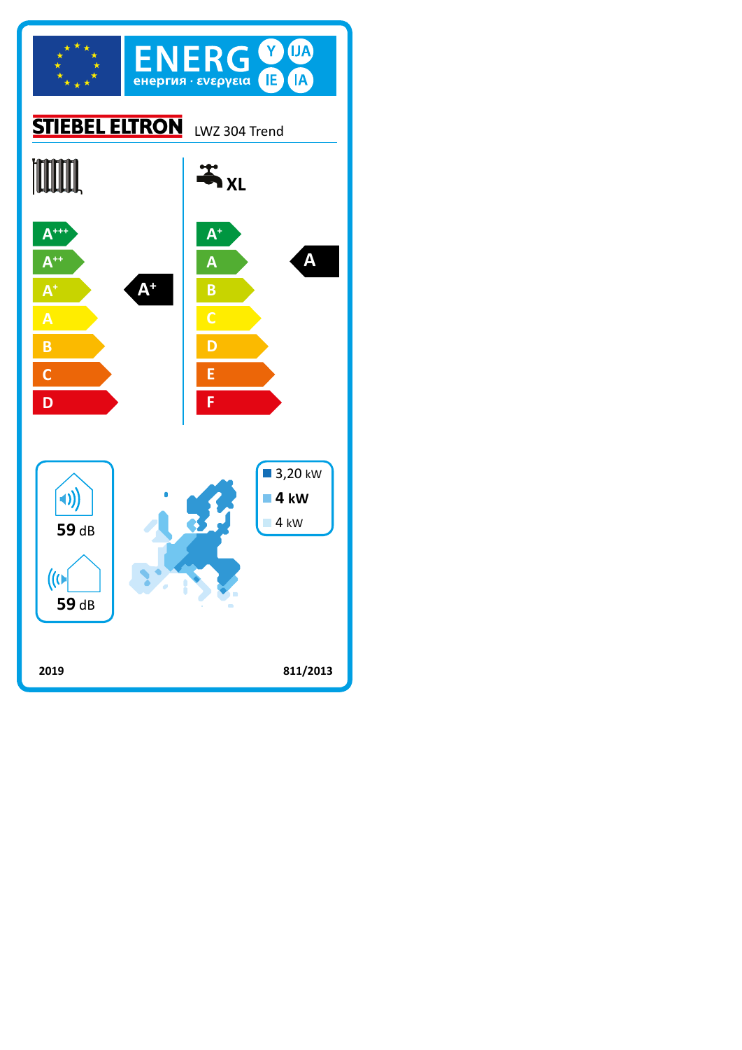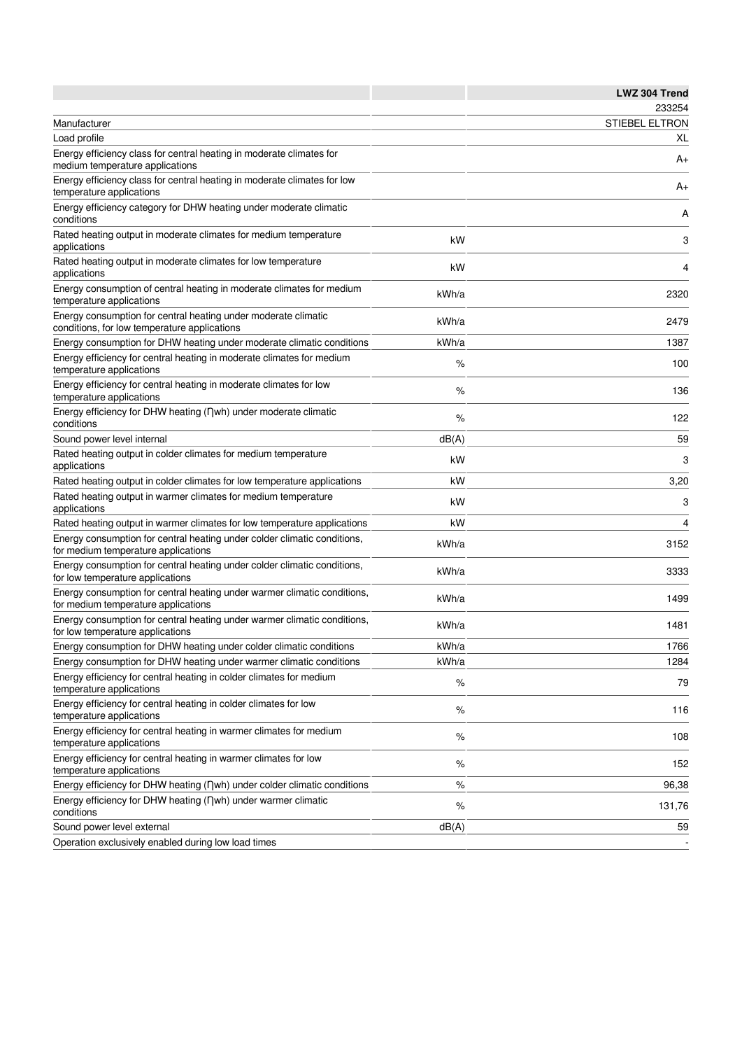|                                                                                                                 |       | LWZ 304 Trend         |
|-----------------------------------------------------------------------------------------------------------------|-------|-----------------------|
|                                                                                                                 |       | 233254                |
| Manufacturer                                                                                                    |       | <b>STIEBEL ELTRON</b> |
| Load profile                                                                                                    |       | XL                    |
| Energy efficiency class for central heating in moderate climates for<br>medium temperature applications         |       | A+                    |
| Energy efficiency class for central heating in moderate climates for low<br>temperature applications            |       | A+                    |
| Energy efficiency category for DHW heating under moderate climatic<br>conditions                                |       | Α                     |
| Rated heating output in moderate climates for medium temperature<br>applications                                | kW    | 3                     |
| Rated heating output in moderate climates for low temperature<br>applications                                   | kW    | 4                     |
| Energy consumption of central heating in moderate climates for medium<br>temperature applications               | kWh/a | 2320                  |
| Energy consumption for central heating under moderate climatic<br>conditions, for low temperature applications  | kWh/a | 2479                  |
| Energy consumption for DHW heating under moderate climatic conditions                                           | kWh/a | 1387                  |
| Energy efficiency for central heating in moderate climates for medium<br>temperature applications               | %     | 100                   |
| Energy efficiency for central heating in moderate climates for low<br>temperature applications                  | %     | 136                   |
| Energy efficiency for DHW heating (nwh) under moderate climatic<br>conditions                                   | %     | 122                   |
| Sound power level internal                                                                                      | dB(A) | 59                    |
| Rated heating output in colder climates for medium temperature<br>applications                                  | kW    | 3                     |
| Rated heating output in colder climates for low temperature applications                                        | kW    | 3,20                  |
| Rated heating output in warmer climates for medium temperature<br>applications                                  | kW    | 3                     |
| Rated heating output in warmer climates for low temperature applications                                        | kW    | 4                     |
| Energy consumption for central heating under colder climatic conditions,<br>for medium temperature applications | kWh/a | 3152                  |
| Energy consumption for central heating under colder climatic conditions,<br>for low temperature applications    | kWh/a | 3333                  |
| Energy consumption for central heating under warmer climatic conditions,<br>for medium temperature applications | kWh/a | 1499                  |
| Energy consumption for central heating under warmer climatic conditions,<br>for low temperature applications    | kWh/a | 1481                  |
| Energy consumption for DHW heating under colder climatic conditions                                             | kWh/a | 1766                  |
| Energy consumption for DHW heating under warmer climatic conditions                                             | kWh/a | 1284                  |
| Energy efficiency for central heating in colder climates for medium<br>temperature applications                 | $\%$  | 79                    |
| Energy efficiency for central heating in colder climates for low<br>temperature applications                    | $\%$  | 116                   |
| Energy efficiency for central heating in warmer climates for medium<br>temperature applications                 | $\%$  | 108                   |
| Energy efficiency for central heating in warmer climates for low<br>temperature applications                    | %     | 152                   |
| Energy efficiency for DHW heating (nwh) under colder climatic conditions                                        | $\%$  | 96,38                 |
| Energy efficiency for DHW heating (Dwh) under warmer climatic<br>conditions                                     | $\%$  | 131,76                |
| Sound power level external                                                                                      | dB(A) | 59                    |
| Operation exclusively enabled during low load times                                                             |       |                       |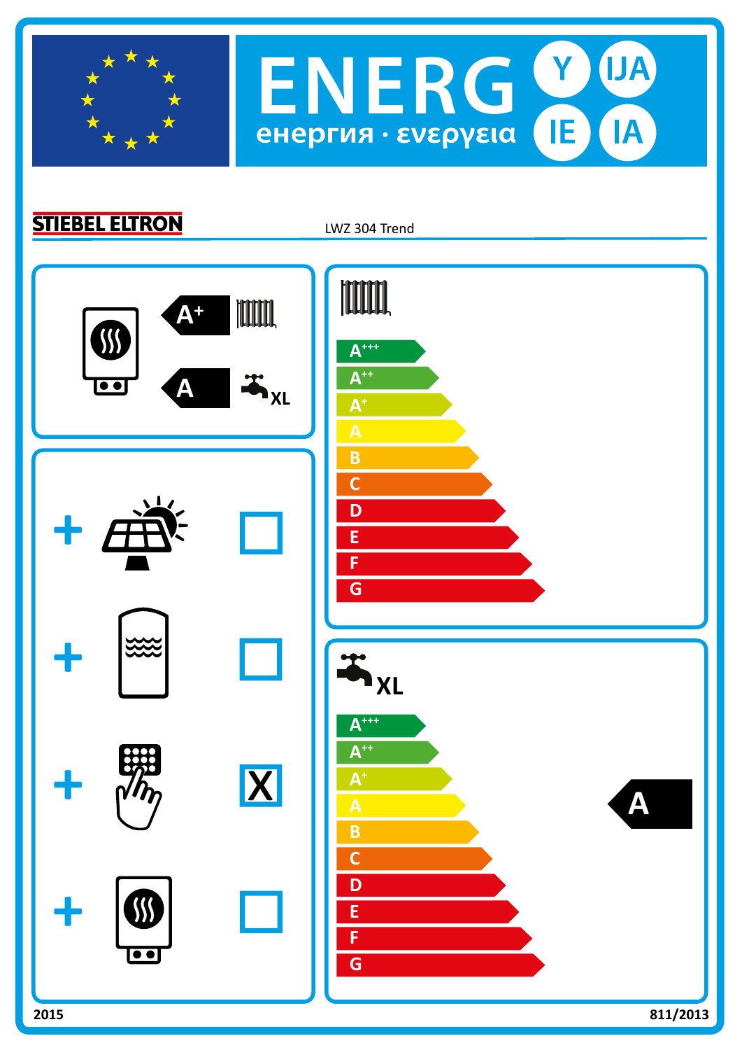

**STIEBEL ELTRON** 

LWZ 304 Trend

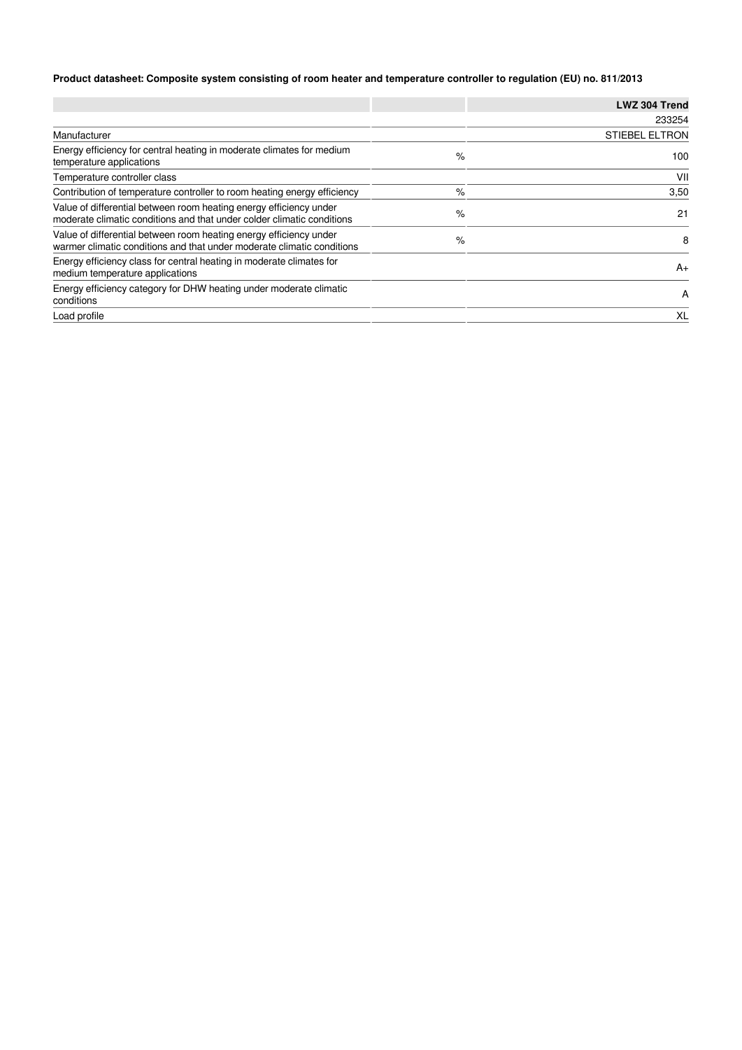## **Product datasheet: Composite system consisting of room heater and temperature controller to regulation (EU) no. 811/2013**

|                                                                                                                                              |   | LWZ 304 Trend         |
|----------------------------------------------------------------------------------------------------------------------------------------------|---|-----------------------|
|                                                                                                                                              |   | 233254                |
| Manufacturer                                                                                                                                 |   | <b>STIEBEL ELTRON</b> |
| Energy efficiency for central heating in moderate climates for medium<br>temperature applications                                            | % | 100                   |
| Temperature controller class                                                                                                                 |   | VII                   |
| Contribution of temperature controller to room heating energy efficiency                                                                     | % | 3,50                  |
| Value of differential between room heating energy efficiency under<br>moderate climatic conditions and that under colder climatic conditions | % | 21                    |
| Value of differential between room heating energy efficiency under<br>warmer climatic conditions and that under moderate climatic conditions | % | 8                     |
| Energy efficiency class for central heating in moderate climates for<br>medium temperature applications                                      |   | $A+$                  |
| Energy efficiency category for DHW heating under moderate climatic<br>conditions                                                             |   | A                     |
| Load profile                                                                                                                                 |   | XL                    |